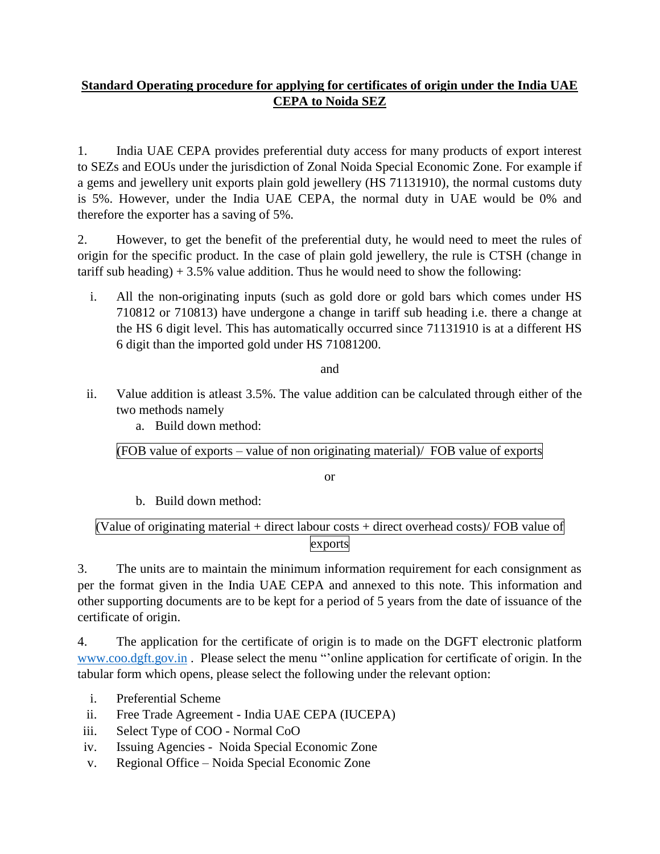# **Standard Operating procedure for applying for certificates of origin under the India UAE CEPA to Noida SEZ**

1. India UAE CEPA provides preferential duty access for many products of export interest to SEZs and EOUs under the jurisdiction of Zonal Noida Special Economic Zone. For example if a gems and jewellery unit exports plain gold jewellery (HS 71131910), the normal customs duty is 5%. However, under the India UAE CEPA, the normal duty in UAE would be 0% and therefore the exporter has a saving of 5%.

2. However, to get the benefit of the preferential duty, he would need to meet the rules of origin for the specific product. In the case of plain gold jewellery, the rule is CTSH (change in tariff sub heading)  $+3.5\%$  value addition. Thus he would need to show the following:

i. All the non-originating inputs (such as gold dore or gold bars which comes under HS 710812 or 710813) have undergone a change in tariff sub heading i.e. there a change at the HS 6 digit level. This has automatically occurred since 71131910 is at a different HS 6 digit than the imported gold under HS 71081200.

and

ii. Value addition is atleast 3.5%. The value addition can be calculated through either of the two methods namely

a. Build down method:

(FOB value of exports – value of non originating material)/ FOB value of exports

or

b. Build down method:

# (Value of originating material + direct labour costs + direct overhead costs)/ FOB value of exports

3. The units are to maintain the minimum information requirement for each consignment as per the format given in the India UAE CEPA and annexed to this note. This information and other supporting documents are to be kept for a period of 5 years from the date of issuance of the certificate of origin.

4. The application for the certificate of origin is to made on the DGFT electronic platform [www.coo.dgft.gov.in](http://www.coo.dgft.gov.in/) . Please select the menu "'online application for certificate of origin. In the tabular form which opens, please select the following under the relevant option:

- i. Preferential Scheme
- ii. Free Trade Agreement India UAE CEPA (IUCEPA)
- iii. Select Type of COO Normal CoO
- iv. Issuing Agencies Noida Special Economic Zone
- v. Regional Office Noida Special Economic Zone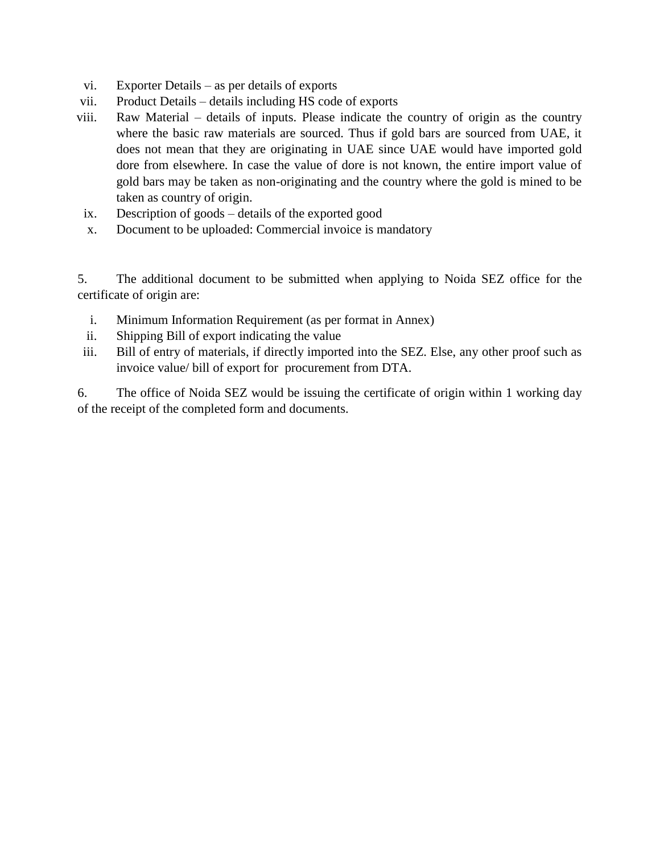- vi. Exporter Details as per details of exports
- vii. Product Details details including HS code of exports
- viii. Raw Material details of inputs. Please indicate the country of origin as the country where the basic raw materials are sourced. Thus if gold bars are sourced from UAE, it does not mean that they are originating in UAE since UAE would have imported gold dore from elsewhere. In case the value of dore is not known, the entire import value of gold bars may be taken as non-originating and the country where the gold is mined to be taken as country of origin.
- ix. Description of goods details of the exported good
- x. Document to be uploaded: Commercial invoice is mandatory

5. The additional document to be submitted when applying to Noida SEZ office for the certificate of origin are:

- i. Minimum Information Requirement (as per format in Annex)
- ii. Shipping Bill of export indicating the value
- iii. Bill of entry of materials, if directly imported into the SEZ. Else, any other proof such as invoice value/ bill of export for procurement from DTA.

6. The office of Noida SEZ would be issuing the certificate of origin within 1 working day of the receipt of the completed form and documents.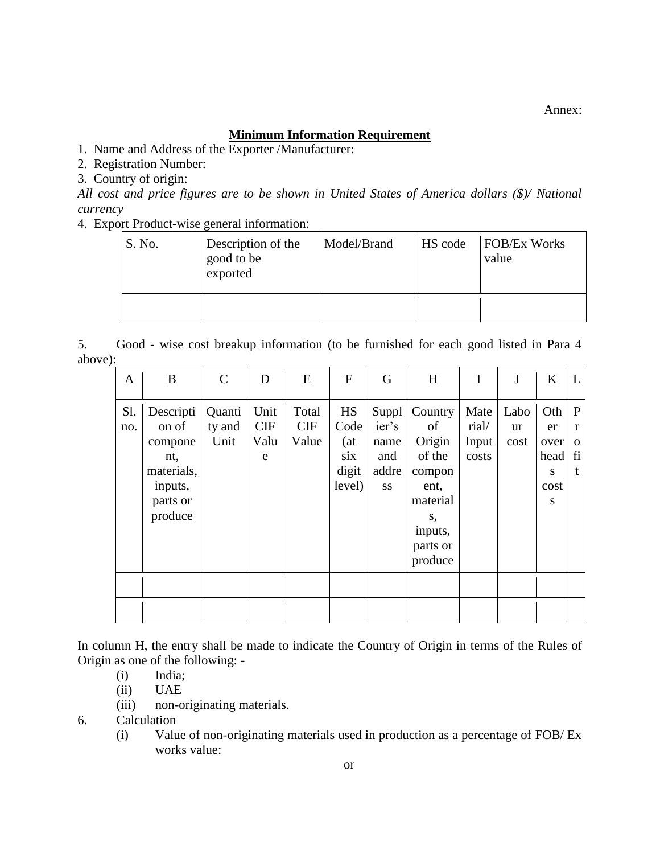Annex:

## **Minimum Information Requirement**

1. Name and Address of the Exporter /Manufacturer:

2. Registration Number:

3. Country of origin:

*All cost and price figures are to be shown in United States of America dollars (\$)/ National currency* 

4. Export Product-wise general information:

| S. No. | Description of the<br>good to be<br>exported | Model/Brand | HS code | <b>FOB/Ex Works</b><br>value |
|--------|----------------------------------------------|-------------|---------|------------------------------|
|        |                                              |             |         |                              |

5. Good - wise cost breakup information (to be furnished for each good listed in Para 4 above):

| A          | B                                                                                    | C                        | D                        | E                     | F                                            | G                                                   | H                                                                                                       | I                               | J                  | K                                           | L                             |
|------------|--------------------------------------------------------------------------------------|--------------------------|--------------------------|-----------------------|----------------------------------------------|-----------------------------------------------------|---------------------------------------------------------------------------------------------------------|---------------------------------|--------------------|---------------------------------------------|-------------------------------|
| Sl.<br>no. | Descripti<br>on of<br>compone<br>nt,<br>materials,<br>inputs,<br>parts or<br>produce | Quanti<br>ty and<br>Unit | Unit<br>CIF<br>Valu<br>e | Total<br>CIF<br>Value | HS<br>Code<br>(at)<br>six<br>digit<br>level) | Suppl<br>ier's<br>name<br>and<br>addre<br><b>SS</b> | Country<br>of<br>Origin<br>of the<br>compon<br>ent,<br>material<br>S,<br>inputs,<br>parts or<br>produce | Mate<br>rial/<br>Input<br>costs | Labo<br>ur<br>cost | Oth<br>er<br>over<br>head<br>S<br>cost<br>S | P<br>r<br>$\Omega$<br>fi<br>t |
|            |                                                                                      |                          |                          |                       |                                              |                                                     |                                                                                                         |                                 |                    |                                             |                               |

In column H, the entry shall be made to indicate the Country of Origin in terms of the Rules of Origin as one of the following: -

- (i) India;
- (ii) UAE
- (iii) non-originating materials.

6. Calculation

(i) Value of non-originating materials used in production as a percentage of FOB/ Ex works value: